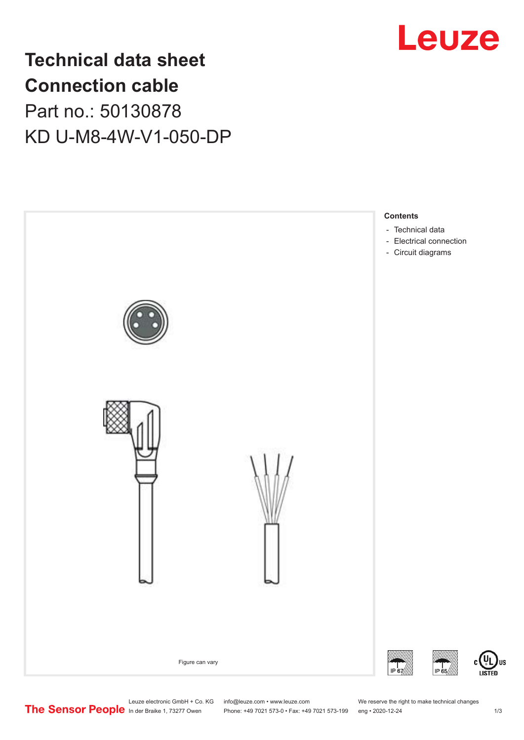

# **Technical data sheet Connection cable** Part no.: 50130878 KD U-M8-4W-V1-050-DP



Leuze electronic GmbH + Co. KG info@leuze.com • www.leuze.com We reserve the right to make technical changes<br>
The Sensor People in der Braike 1, 73277 Owen Phone: +49 7021 573-0 • Fax: +49 7021 573-199 eng • 2020-12-24

Phone: +49 7021 573-0 • Fax: +49 7021 573-199 eng • 2020-12-24 1 2020-12-24

US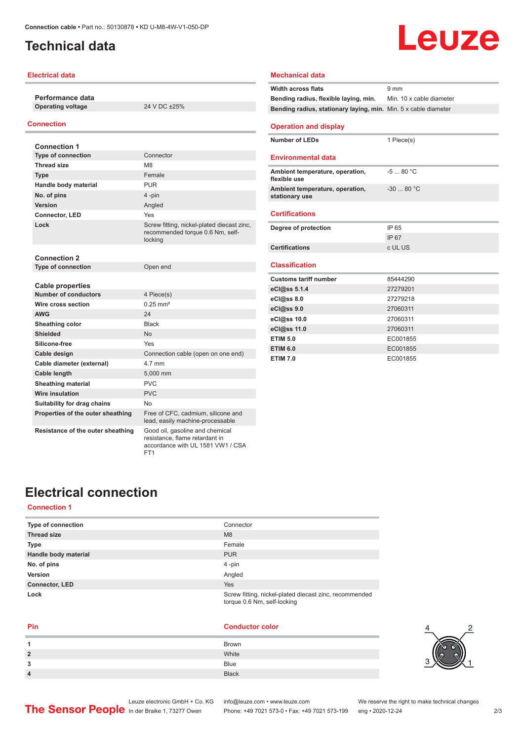## <span id="page-1-0"></span>**Technical data**

#### **Electrical data**

**Performance data Operating voltage** 24 V DC ±25%

#### **Connection**

| <b>Connection 1</b>               |                                                                                                        |
|-----------------------------------|--------------------------------------------------------------------------------------------------------|
| <b>Type of connection</b>         | Connector                                                                                              |
| <b>Thread size</b>                | M <sub>8</sub>                                                                                         |
| <b>Type</b>                       | Female                                                                                                 |
| Handle body material              | <b>PUR</b>                                                                                             |
| No. of pins                       | 4-pin                                                                                                  |
| Version                           | Angled                                                                                                 |
| <b>Connector, LED</b>             | Yes                                                                                                    |
| Lock                              | Screw fitting, nickel-plated diecast zinc,<br>recommended torque 0.6 Nm, self-<br>locking              |
| <b>Connection 2</b>               |                                                                                                        |
| <b>Type of connection</b>         | Open end                                                                                               |
|                                   |                                                                                                        |
| <b>Cable properties</b>           |                                                                                                        |
| <b>Number of conductors</b>       | 4 Piece(s)                                                                                             |
| Wire cross section                | $0.25$ mm <sup>2</sup>                                                                                 |
| <b>AWG</b>                        | 24                                                                                                     |
| <b>Sheathing color</b>            | <b>Black</b>                                                                                           |
| <b>Shielded</b>                   | <b>No</b>                                                                                              |
| Silicone-free                     | Yes                                                                                                    |
| Cable design                      | Connection cable (open on one end)                                                                     |
| Cable diameter (external)         | 4 7 mm                                                                                                 |
| <b>Cable length</b>               | 5,000 mm                                                                                               |
| <b>Sheathing material</b>         | PVC                                                                                                    |
| Wire insulation                   | PVC                                                                                                    |
| Suitability for drag chains       | No.                                                                                                    |
| Properties of the outer sheathing | Free of CFC, cadmium, silicone and<br>lead, easily machine-processable                                 |
| Resistance of the outer sheathing | Good oil, gasoline and chemical<br>resistance. flame retardant in<br>accordance with UL 1581 VW1 / CSA |

FT1

#### **Width across flats** 9 mm **Bending radius, flexible laying, min.** Min. 10 x cable diameter **Bending radius, stationary laying, min.** Min. 5 x cable diameter **Operation and display Number of LEDs** 1 Piece(s) **Environmental data Ambient temperature, operation, flexible use** -5 ... 80 °C **Ambient temperature, operation, stationary use** -30 ... 80 °C **Certifications Degree of protection** IP 65 IP 67 **Certifications** c UL US **Classification Customs tariff number** 85444290 **eCl@ss 5.1.4** 27279201 **eCl@ss 8.0** 27279218 **eCl@ss 9.0** 27060311 **eCl@ss 10.0** 27060311 **eCl@ss 11.0** 27060311 **ETIM 5.0** EC001855 **ETIM 6.0** EC001855 **ETIM 7.0** EC001855

Leuze

**Mechanical data**

## **Electrical connection**

#### **Connection 1**

| Type of connection    | Connector                                                                             |
|-----------------------|---------------------------------------------------------------------------------------|
| <b>Thread size</b>    | M8                                                                                    |
| <b>Type</b>           | Female                                                                                |
| Handle body material  | <b>PUR</b>                                                                            |
| No. of pins           | $4$ -pin                                                                              |
| <b>Version</b>        | Angled                                                                                |
| <b>Connector, LED</b> | Yes                                                                                   |
| Lock                  | Screw fitting, nickel-plated diecast zinc, recommended<br>torque 0.6 Nm, self-locking |

#### **Pin Conductor color 1** Brown **2** White **3** Blue **4** Black



Phone: +49 7021 573-0 • Fax: +49 7021 573-199 eng • 2020-12-24 2/3